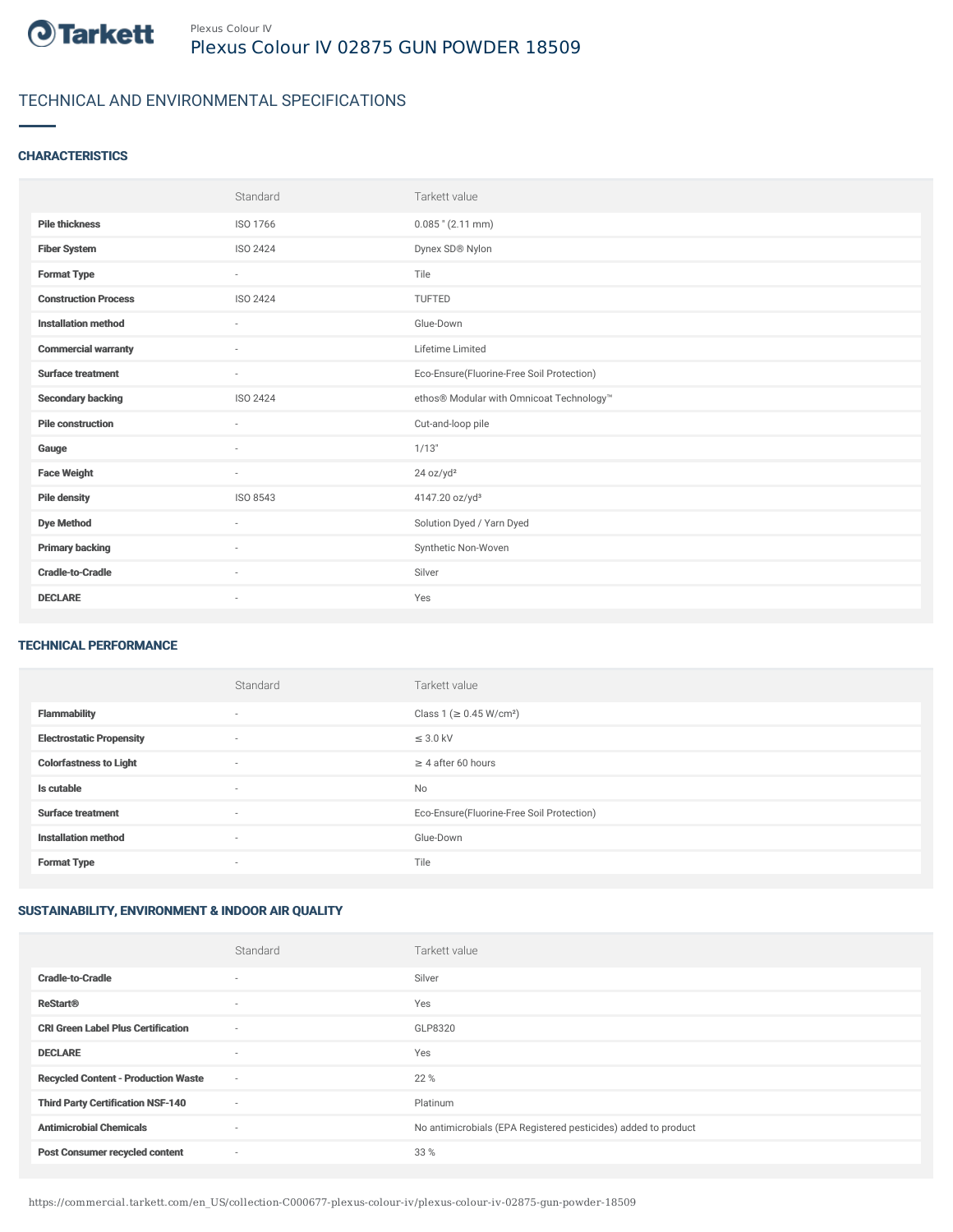

# TECHNICAL AND ENVIRONMENTAL SPECIFICATIONS

### **CHARACTERISTICS**

|                             | Standard                 | Tarkett value                             |
|-----------------------------|--------------------------|-------------------------------------------|
| <b>Pile thickness</b>       | ISO 1766                 | $0.085$ " (2.11 mm)                       |
| <b>Fiber System</b>         | ISO 2424                 | Dynex SD® Nylon                           |
| <b>Format Type</b>          | $\sim$                   | Tile                                      |
| <b>Construction Process</b> | ISO 2424                 | TUFTED                                    |
| <b>Installation method</b>  | $\overline{\phantom{a}}$ | Glue-Down                                 |
| <b>Commercial warranty</b>  | $\sim$                   | Lifetime Limited                          |
| <b>Surface treatment</b>    | $\sim$                   | Eco-Ensure(Fluorine-Free Soil Protection) |
| <b>Secondary backing</b>    | ISO 2424                 | ethos® Modular with Omnicoat Technology™  |
| <b>Pile construction</b>    | $\sim$                   | Cut-and-loop pile                         |
| Gauge                       | $\sim$                   | 1/13"                                     |
| <b>Face Weight</b>          | $\sim$                   | 24 oz/yd <sup>2</sup>                     |
| <b>Pile density</b>         | ISO 8543                 | 4147.20 oz/yd <sup>3</sup>                |
| <b>Dye Method</b>           | ٠                        | Solution Dyed / Yarn Dyed                 |
| <b>Primary backing</b>      | ٠                        | Synthetic Non-Woven                       |
| <b>Cradle-to-Cradle</b>     | $\sim$                   | Silver                                    |
| <b>DECLARE</b>              | $\overline{\phantom{a}}$ | Yes                                       |

#### TECHNICAL PERFORMANCE

|                                 | Standard                 | Tarkett value                             |
|---------------------------------|--------------------------|-------------------------------------------|
| <b>Flammability</b>             | $\overline{\phantom{a}}$ | Class 1 ( $\geq$ 0.45 W/cm <sup>2</sup> ) |
| <b>Electrostatic Propensity</b> | ٠                        | $\leq$ 3.0 kV                             |
| <b>Colorfastness to Light</b>   | $\overline{\phantom{a}}$ | $\geq 4$ after 60 hours                   |
| Is cutable                      | $\overline{\phantom{a}}$ | No                                        |
| <b>Surface treatment</b>        | ٠                        | Eco-Ensure(Fluorine-Free Soil Protection) |
| <b>Installation method</b>      | $\overline{\phantom{a}}$ | Glue-Down                                 |
| <b>Format Type</b>              | $\overline{\phantom{a}}$ | Tile                                      |

## SUSTAINABILITY, ENVIRONMENT & INDOOR AIR QUALITY

|                                            | Standard                 | Tarkett value                                                  |
|--------------------------------------------|--------------------------|----------------------------------------------------------------|
| <b>Cradle-to-Cradle</b>                    | $\overline{\phantom{a}}$ | Silver                                                         |
| <b>ReStart®</b>                            | ٠                        | Yes                                                            |
| <b>CRI Green Label Plus Certification</b>  | $\sim$                   | GLP8320                                                        |
| <b>DECLARE</b>                             | $\overline{\phantom{a}}$ | Yes                                                            |
| <b>Recycled Content - Production Waste</b> | $\sim$                   | 22 %                                                           |
| <b>Third Party Certification NSF-140</b>   | $\sim$                   | Platinum                                                       |
| <b>Antimicrobial Chemicals</b>             | ٠                        | No antimicrobials (EPA Registered pesticides) added to product |
| <b>Post Consumer recycled content</b>      | $\sim$                   | 33 %                                                           |